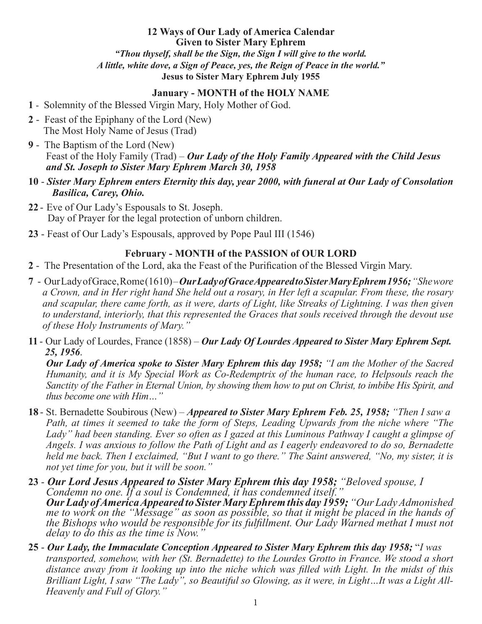**12 Ways of Our Lady of America Calendar Given to Sister Mary Ephrem** *"Thou thyself, shall be the Sign, the Sign I will give to the world. A little, white dove, a Sign of Peace, yes, the Reign of Peace in the world."* **Jesus to Sister Mary Ephrem July 1955**

### **January - MONTH of the HOLY NAME**

- **1** Solemnity of the Blessed Virgin Mary, Holy Mother of God.
- **2** Feast of the Epiphany of the Lord (New) The Most Holy Name of Jesus (Trad)
- **9** The Baptism of the Lord (New) Feast of the Holy Family (Trad) – *Our Lady of the Holy Family Appeared with the Child Jesus and St. Joseph to Sister Mary Ephrem March 30, 1958*
- **10** *Sister Mary Ephrem enters Eternity this day, year 2000, with funeral at Our Lady of Consolation Basilica, Carey, Ohio.*
- **22** Eve of Our Lady's Espousals to St. Joseph. Day of Prayer for the legal protection of unborn children.
- **23** Feast of Our Lady's Espousals, approved by Pope Paul III (1546)

#### **February - MONTH of the PASSION of OUR LORD**

**2** - The Presentation of the Lord, aka the Feast of the Purification of the Blessed Virgin Mary.

- **7** Our Lady of Grace, Rome (1610) *Our Lady of Grace Appeared to Sister Mary Ephrem 1956;"She wore a Crown, and in Her right hand She held out a rosary, in Her left a scapular. From these, the rosary and scapular, there came forth, as it were, darts of Light, like Streaks of Lightning. I was then given to understand, interiorly, that this represented the Graces that souls received through the devout use of these Holy Instruments of Mary."*
- **11** Our Lady of Lourdes, France (1858) *Our Lady Of Lourdes Appeared to Sister Mary Ephrem Sept. 25, 1956*.

*Our Lady of America spoke to Sister Mary Ephrem this day 1958; "I am the Mother of the Sacred Humanity, and it is My Special Work as Co-Redemptrix of the human race, to Helpsouls reach the Sanctity of the Father in Eternal Union, by showing them how to put on Christ, to imbibe His Spirit, and thus become one with Him…"*

- **18** St. Bernadette Soubirous (New) *Appeared to Sister Mary Ephrem Feb. 25, 1958; "Then I saw a Path, at times it seemed to take the form of Steps, Leading Upwards from the niche where "The Lady" had been standing. Ever so often as I gazed at this Luminous Pathway I caught a glimpse of Angels. I was anxious to follow the Path of Light and as I eagerly endeavored to do so, Bernadette held me back. Then I exclaimed, "But I want to go there." The Saint answered, "No, my sister, it is not yet time for you, but it will be soon."*
- **23** *Our Lord Jesus Appeared to Sister Mary Ephrem this day 1958; "Beloved spouse, I Condemn no one. If a soul is Condemned, it has condemned itself." Our Lady of America Appeared to Sister Mary Ephrem this day 1959; "Our Lady Admonished me to work on the "Message" as soon as possible, so that it might be placed in the hands of the Bishops who would be responsible for its fulfillment. Our Lady Warned methat I must not delay to do this as the time is Now."*
- **25**  *Our Lady, the Immaculate Conception Appeared to Sister Mary Ephrem this day 1958;* "*I was transported, somehow, with her (St. Bernadette) to the Lourdes Grotto in France. We stood a short distance away from it looking up into the niche which was filled with Light. In the midst of this Brilliant Light, I saw "The Lady", so Beautiful so Glowing, as it were, in Light…It was a Light All-Heavenly and Full of Glory."*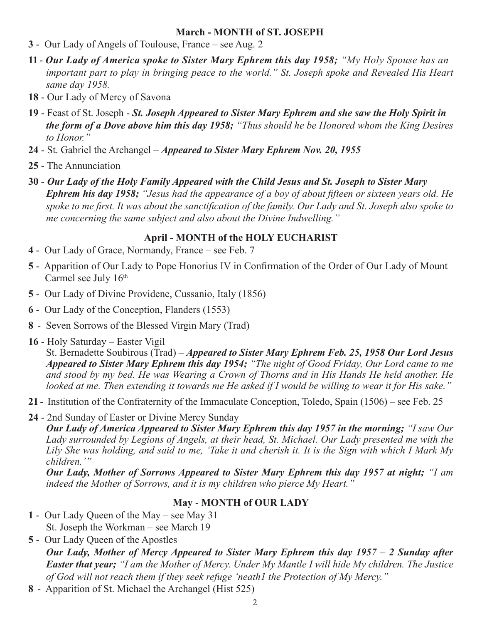### **March - MONTH of ST. JOSEPH**

- **3** Our Lady of Angels of Toulouse, France see Aug. 2
- **11** *Our Lady of America spoke to Sister Mary Ephrem this day 1958; "My Holy Spouse has an important part to play in bringing peace to the world." St. Joseph spoke and Revealed His Heart same day 1958.*
- **18** Our Lady of Mercy of Savona
- **19** Feast of St. Joseph *St. Joseph Appeared to Sister Mary Ephrem and she saw the Holy Spirit in the form of a Dove above him this day 1958; "Thus should he be Honored whom the King Desires to Honor."*
- **24** St. Gabriel the Archangel *Appeared to Sister Mary Ephrem Nov. 20, 1955*
- **25** The Annunciation
- **30** *Our Lady of the Holy Family Appeared with the Child Jesus and St. Joseph to Sister Mary Ephrem his day 1958; "Jesus had the appearance of a boy of about fifteen or sixteen years old. He spoke to me first. It was about the sanctification of the family. Our Lady and St. Joseph also spoke to me concerning the same subject and also about the Divine Indwelling."*

# **April - MONTH of the HOLY EUCHARIST**

- **4** Our Lady of Grace, Normandy, France see Feb. 7
- **5** Apparition of Our Lady to Pope Honorius IV in Confirmation of the Order of Our Lady of Mount Carmel see July 16<sup>th</sup>
- **5** Our Lady of Divine Providene, Cussanio, Italy (1856)
- **6** Our Lady of the Conception, Flanders (1553)
- **8** Seven Sorrows of the Blessed Virgin Mary (Trad)
- **16** Holy Saturday Easter Vigil

St. Bernadette Soubirous (Trad) – *Appeared to Sister Mary Ephrem Feb. 25, 1958 Our Lord Jesus Appeared to Sister Mary Ephrem this day 1954; "The night of Good Friday, Our Lord came to me and stood by my bed. He was Wearing a Crown of Thorns and in His Hands He held another. He looked at me. Then extending it towards me He asked if I would be willing to wear it for His sake."*

- **21** Institution of the Confraternity of the Immaculate Conception, Toledo, Spain (1506) see Feb. 25
- **24** 2nd Sunday of Easter or Divine Mercy Sunday

*Our Lady of America Appeared to Sister Mary Ephrem this day 1957 in the morning; "I saw Our Lady surrounded by Legions of Angels, at their head, St. Michael. Our Lady presented me with the Lily She was holding, and said to me, 'Take it and cherish it. It is the Sign with which I Mark My children.'"*

*Our Lady, Mother of Sorrows Appeared to Sister Mary Ephrem this day 1957 at night; "I am indeed the Mother of Sorrows, and it is my children who pierce My Heart."*

## **May** - **MONTH of OUR LADY**

- **1** Our Lady Queen of the May see May 31 St. Joseph the Workman – see March 19
- **5** Our Lady Queen of the Apostles *Our Lady, Mother of Mercy Appeared to Sister Mary Ephrem this day 1957 – 2 Sunday after Easter that year; "I am the Mother of Mercy. Under My Mantle I will hide My children. The Justice of God will not reach them if they seek refuge 'neath1 the Protection of My Mercy."*
- **8** Apparition of St. Michael the Archangel (Hist 525)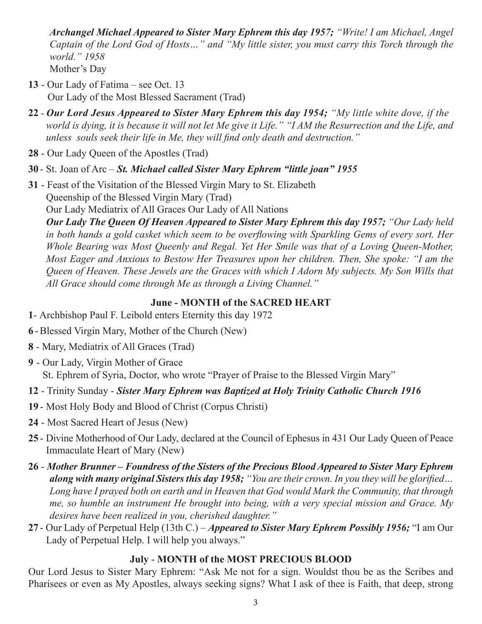*Archangel Michael Appeared to Sister Mary Ephrem this day 1957; "Write! I am Michael, Angel Captain of the Lord God of Hosts…" and "My little sister, you must carry this Torch through the world." 1958* Mother's Day

- **13** Our Lady of Fatima see Oct. 13 Our Lady of the Most Blessed Sacrament (Trad)
- **22** *Our Lord Jesus Appeared to Sister Mary Ephrem this day 1954; "My little white dove, if the world is dying, it is because it will not let Me give it Life." "I AM the Resurrection and the Life, and unless souls seek their life in Me, they will find only death and destruction."*
- **28** Our Lady Queen of the Apostles (Trad)
- **30** St. Joan of Arc *St. Michael called Sister Mary Ephrem "little joan" 1955*
- **31**  Feast of the Visitation of the Blessed Virgin Mary to St. Elizabeth Queenship of the Blessed Virgin Mary (Trad) Our Lady Mediatrix of All Graces Our Lady of All Nations

*Our Lady The Queen Of Heaven Appeared to Sister Mary Ephrem this day 1957; "Our Lady held in both hands a gold casket which seem to be overflowing with Sparkling Gems of every sort. Her Whole Bearing was Most Queenly and Regal. Yet Her Smile was that of a Loving Queen-Mother, Most Eager and Anxious to Bestow Her Treasures upon her children. Then, She spoke: "I am the Queen of Heaven. These Jewels are the Graces with which I Adorn My subjects. My Son Wills that All Grace should come through Me as through a Living Channel."*

## **June - MONTH of the SACRED HEART**

- **1** Archbishop Paul F. Leibold enters Eternity this day 1972
- **6** -Blessed Virgin Mary, Mother of the Church (New)
- **8** Mary, Mediatrix of All Graces (Trad)
- **9**  Our Lady, Virgin Mother of Grace St. Ephrem of Syria, Doctor, who wrote "Prayer of Praise to the Blessed Virgin Mary"
- **12** Trinity Sunday *Sister Mary Ephrem was Baptized at Holy Trinity Catholic Church 1916*
- **19** Most Holy Body and Blood of Christ (Corpus Christi)
- **24** Most Sacred Heart of Jesus (New)
- **25** Divine Motherhood of Our Lady, declared at the Council of Ephesus in 431 Our Lady Queen of Peace Immaculate Heart of Mary (New)
- **26**  *Mother Brunner Foundress of the Sisters of the Precious Blood Appeared to Sister Mary Ephrem along with many original Sisters this day 1958; "You are their crown. In you they will be glorified… Long have I prayed both on earth and in Heaven that God would Mark the Community, that through me, so humble an instrument He brought into being, with a very special mission and Grace. My desires have been realized in you, cherished daughter."*
- **27** Our Lady of Perpetual Help (13th C.) *Appeared to Sister Mary Ephrem Possibly 1956;* "I am Our Lady of Perpetual Help. I will help you always."

## **July** - **MONTH of the MOST PRECIOUS BLOOD**

Our Lord Jesus to Sister Mary Ephrem: "Ask Me not for a sign. Wouldst thou be as the Scribes and Pharisees or even as My Apostles, always seeking signs? What I ask of thee is Faith, that deep, strong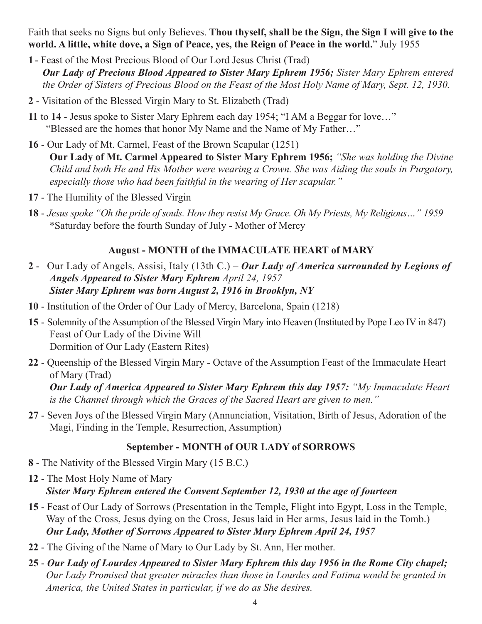Faith that seeks no Signs but only Believes. **Thou thyself, shall be the Sign, the Sign I will give to the world. A little, white dove, a Sign of Peace, yes, the Reign of Peace in the world.**" July 1955

- **1** Feast of the Most Precious Blood of Our Lord Jesus Christ (Trad) *Our Lady of Precious Blood Appeared to Sister Mary Ephrem 1956; Sister Mary Ephrem entered the Order of Sisters of Precious Blood on the Feast of the Most Holy Name of Mary, Sept. 12, 1930.*
- **2** Visitation of the Blessed Virgin Mary to St. Elizabeth (Trad)
- **11** to **14** Jesus spoke to Sister Mary Ephrem each day 1954; "I AM a Beggar for love…" "Blessed are the homes that honor My Name and the Name of My Father…"
- **16** Our Lady of Mt. Carmel, Feast of the Brown Scapular (1251) **Our Lady of Mt. Carmel Appeared to Sister Mary Ephrem 1956;** *"She was holding the Divine Child and both He and His Mother were wearing a Crown. She was Aiding the souls in Purgatory, especially those who had been faithful in the wearing of Her scapular."*
- **17** The Humility of the Blessed Virgin
- **18** - *Jesus spoke "Oh the pride of souls. How they resist My Grace. Oh My Priests, My Religious…" 1959*  \*Saturday before the fourth Sunday of July - Mother of Mercy

# **August - MONTH of the IMMACULATE HEART of MARY**

- **2**  Our Lady of Angels, Assisi, Italy (13th C.) *Our Lady of America surrounded by Legions of Angels Appeared to Sister Mary Ephrem April 24, 1957 Sister Mary Ephrem was born August 2, 1916 in Brooklyn, NY*
- **10** Institution of the Order of Our Lady of Mercy, Barcelona, Spain (1218)
- **15** Solemnity of the Assumption of the Blessed Virgin Mary into Heaven (Instituted by Pope Leo IV in 847) Feast of Our Lady of the Divine Will Dormition of Our Lady (Eastern Rites)
- **22** Queenship of the Blessed Virgin Mary Octave of the Assumption Feast of the Immaculate Heart of Mary (Trad)

*Our Lady of America Appeared to Sister Mary Ephrem this day 1957: "My Immaculate Heart is the Channel through which the Graces of the Sacred Heart are given to men."*

**27** - Seven Joys of the Blessed Virgin Mary (Annunciation, Visitation, Birth of Jesus, Adoration of the Magi, Finding in the Temple, Resurrection, Assumption)

# **September - MONTH of OUR LADY of SORROWS**

- **8** The Nativity of the Blessed Virgin Mary (15 B.C.)
- **12** The Most Holy Name of Mary *Sister Mary Ephrem entered the Convent September 12, 1930 at the age of fourteen*
- **15** Feast of Our Lady of Sorrows (Presentation in the Temple, Flight into Egypt, Loss in the Temple, Way of the Cross, Jesus dying on the Cross, Jesus laid in Her arms, Jesus laid in the Tomb.) *Our Lady, Mother of Sorrows Appeared to Sister Mary Ephrem April 24, 1957*
- **22** The Giving of the Name of Mary to Our Lady by St. Ann, Her mother.
- **25** *Our Lady of Lourdes Appeared to Sister Mary Ephrem this day 1956 in the Rome City chapel; Our Lady Promised that greater miracles than those in Lourdes and Fatima would be granted in America, the United States in particular, if we do as She desires.*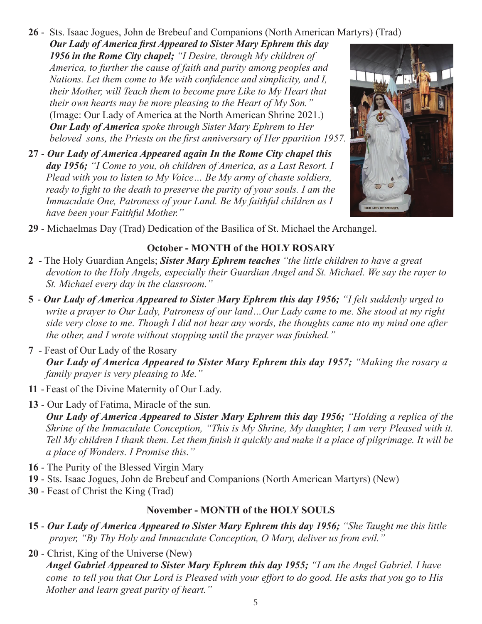# **26** - Sts. Isaac Jogues, John de Brebeuf and Companions (North American Martyrs) (Trad)

*Our Lady of America first Appeared to Sister Mary Ephrem this day 1956 in the Rome City chapel; "I Desire, through My children of America, to further the cause of faith and purity among peoples and Nations. Let them come to Me with confidence and simplicity, and I, their Mother, will Teach them to become pure Like to My Heart that their own hearts may be more pleasing to the Heart of My Son."*  (Image: Our Lady of America at the North American Shrine 2021.) *Our Lady of America spoke through Sister Mary Ephrem to Her beloved sons, the Priests on the first anniversary of Her pparition 1957.*

**27** - *Our Lady of America Appeared again In the Rome City chapel this day 1956; "I Come to you, oh children of America, as a Last Resort. I Plead with you to listen to My Voice… Be My army of chaste soldiers, ready to fight to the death to preserve the purity of your souls. I am the Immaculate One, Patroness of your Land. Be My faithful children as I have been your Faithful Mother."*



**29** - Michaelmas Day (Trad) Dedication of the Basilica of St. Michael the Archangel.

### **October - MONTH of the HOLY ROSARY**

- **2** The Holy Guardian Angels; *Sister Mary Ephrem teaches "the little children to have a great devotion to the Holy Angels, especially their Guardian Angel and St. Michael. We say the rayer to St. Michael every day in the classroom."*
- **5** *Our Lady of America Appeared to Sister Mary Ephrem this day 1956; "I felt suddenly urged to write a prayer to Our Lady, Patroness of our land…Our Lady came to me. She stood at my right side very close to me. Though I did not hear any words, the thoughts came nto my mind one after the other, and I wrote without stopping until the prayer was finished."*
- **7** Feast of Our Lady of the Rosary *Our Lady of America Appeared to Sister Mary Ephrem this day 1957; "Making the rosary a family prayer is very pleasing to Me."*
- **11** - Feast of the Divine Maternity of Our Lady.
- **13** Our Lady of Fatima, Miracle of the sun. *Our Lady of America Appeared to Sister Mary Ephrem this day 1956; "Holding a replica of the Shrine of the Immaculate Conception, "This is My Shrine, My daughter, I am very Pleased with it. Tell My children I thank them. Let them finish it quickly and make it a place of pilgrimage. It will be a place of Wonders. I Promise this."*
- **16** The Purity of the Blessed Virgin Mary
- **19** Sts. Isaac Jogues, John de Brebeuf and Companions (North American Martyrs) (New)
- **30** Feast of Christ the King (Trad)

### **November - MONTH of the HOLY SOULS**

- **15** *Our Lady of America Appeared to Sister Mary Ephrem this day 1956; "She Taught me this little prayer, "By Thy Holy and Immaculate Conception, O Mary, deliver us from evil."*
- **20** Christ, King of the Universe (New) *Angel Gabriel Appeared to Sister Mary Ephrem this day 1955; "I am the Angel Gabriel. I have come to tell you that Our Lord is Pleased with your effort to do good. He asks that you go to His Mother and learn great purity of heart."*